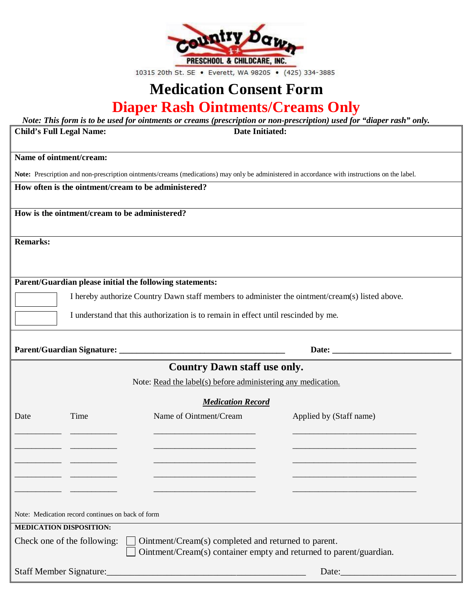

10315 20th St. SE . Everett, WA 98205 . (425) 334-3885

## **Medication Consent Form Diaper Rash Ointments/Creams Only**

| Note: This form is to be used for ointments or creams (prescription or non-prescription) used for "diaper rash" only.                         |                                                                                    |                                                                    |  |  |
|-----------------------------------------------------------------------------------------------------------------------------------------------|------------------------------------------------------------------------------------|--------------------------------------------------------------------|--|--|
| <b>Date Initiated:</b><br><b>Child's Full Legal Name:</b>                                                                                     |                                                                                    |                                                                    |  |  |
|                                                                                                                                               |                                                                                    |                                                                    |  |  |
| Name of ointment/cream:                                                                                                                       |                                                                                    |                                                                    |  |  |
| Note: Prescription and non-prescription ointments/creams (medications) may only be administered in accordance with instructions on the label. |                                                                                    |                                                                    |  |  |
| How often is the ointment/cream to be administered?                                                                                           |                                                                                    |                                                                    |  |  |
|                                                                                                                                               |                                                                                    |                                                                    |  |  |
| How is the ointment/cream to be administered?                                                                                                 |                                                                                    |                                                                    |  |  |
|                                                                                                                                               |                                                                                    |                                                                    |  |  |
| <b>Remarks:</b>                                                                                                                               |                                                                                    |                                                                    |  |  |
|                                                                                                                                               |                                                                                    |                                                                    |  |  |
|                                                                                                                                               |                                                                                    |                                                                    |  |  |
| Parent/Guardian please initial the following statements:                                                                                      |                                                                                    |                                                                    |  |  |
|                                                                                                                                               |                                                                                    |                                                                    |  |  |
| I hereby authorize Country Dawn staff members to administer the ointment/cream(s) listed above.                                               |                                                                                    |                                                                    |  |  |
|                                                                                                                                               | I understand that this authorization is to remain in effect until rescinded by me. |                                                                    |  |  |
|                                                                                                                                               |                                                                                    |                                                                    |  |  |
|                                                                                                                                               |                                                                                    |                                                                    |  |  |
|                                                                                                                                               |                                                                                    |                                                                    |  |  |
| <b>Country Dawn staff use only.</b>                                                                                                           |                                                                                    |                                                                    |  |  |
| Note: Read the label(s) before administering any medication.                                                                                  |                                                                                    |                                                                    |  |  |
| <b>Medication Record</b>                                                                                                                      |                                                                                    |                                                                    |  |  |
| Time<br>Date                                                                                                                                  | Name of Ointment/Cream                                                             | Applied by (Staff name)                                            |  |  |
|                                                                                                                                               |                                                                                    |                                                                    |  |  |
|                                                                                                                                               |                                                                                    |                                                                    |  |  |
|                                                                                                                                               |                                                                                    |                                                                    |  |  |
|                                                                                                                                               |                                                                                    |                                                                    |  |  |
|                                                                                                                                               |                                                                                    |                                                                    |  |  |
|                                                                                                                                               |                                                                                    |                                                                    |  |  |
|                                                                                                                                               |                                                                                    |                                                                    |  |  |
| Note: Medication record continues on back of form                                                                                             |                                                                                    |                                                                    |  |  |
| <b>MEDICATION DISPOSITION:</b>                                                                                                                |                                                                                    |                                                                    |  |  |
|                                                                                                                                               |                                                                                    |                                                                    |  |  |
| Check one of the following:                                                                                                                   | Ointment/Cream(s) completed and returned to parent.                                | Ointment/Cream(s) container empty and returned to parent/guardian. |  |  |